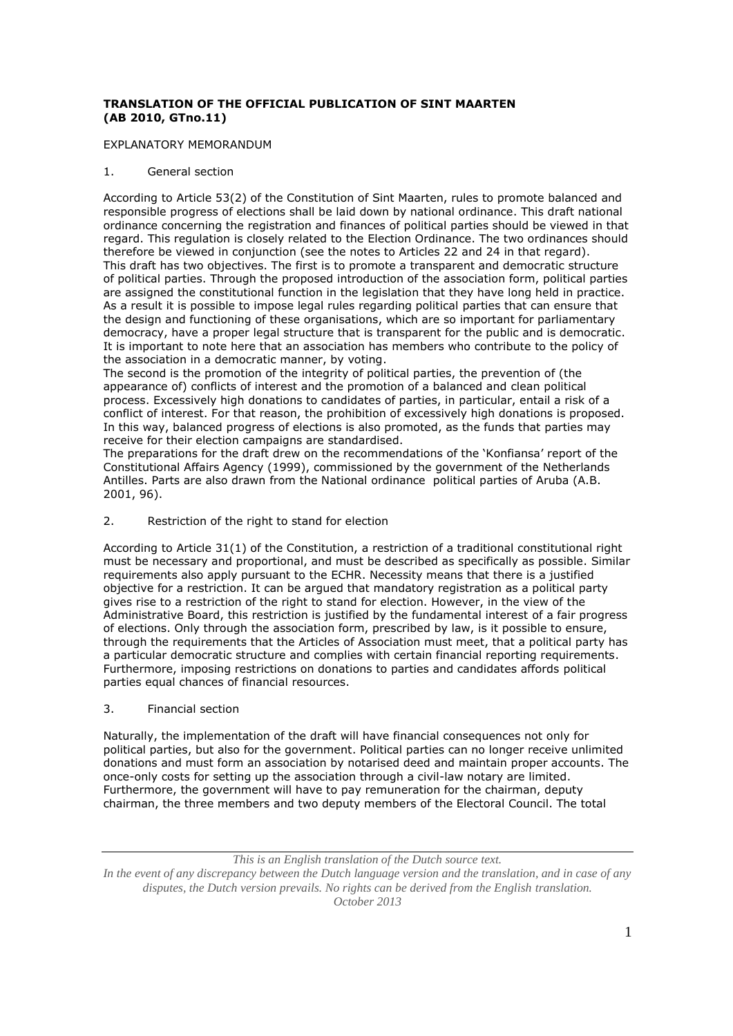# **TRANSLATION OF THE OFFICIAL PUBLICATION OF SINT MAARTEN (AB 2010, GTno.11)**

## EXPLANATORY MEMORANDUM

## 1. General section

According to Article 53(2) of the Constitution of Sint Maarten, rules to promote balanced and responsible progress of elections shall be laid down by national ordinance. This draft national ordinance concerning the registration and finances of political parties should be viewed in that regard. This regulation is closely related to the Election Ordinance. The two ordinances should therefore be viewed in conjunction (see the notes to Articles 22 and 24 in that regard). This draft has two objectives. The first is to promote a transparent and democratic structure of political parties. Through the proposed introduction of the association form, political parties are assigned the constitutional function in the legislation that they have long held in practice. As a result it is possible to impose legal rules regarding political parties that can ensure that the design and functioning of these organisations, which are so important for parliamentary democracy, have a proper legal structure that is transparent for the public and is democratic. It is important to note here that an association has members who contribute to the policy of the association in a democratic manner, by voting.

The second is the promotion of the integrity of political parties, the prevention of (the appearance of) conflicts of interest and the promotion of a balanced and clean political process. Excessively high donations to candidates of parties, in particular, entail a risk of a conflict of interest. For that reason, the prohibition of excessively high donations is proposed. In this way, balanced progress of elections is also promoted, as the funds that parties may receive for their election campaigns are standardised.

The preparations for the draft drew on the recommendations of the 'Konfiansa' report of the Constitutional Affairs Agency (1999), commissioned by the government of the Netherlands Antilles. Parts are also drawn from the National ordinance political parties of Aruba (A.B. 2001, 96).

2. Restriction of the right to stand for election

According to Article 31(1) of the Constitution, a restriction of a traditional constitutional right must be necessary and proportional, and must be described as specifically as possible. Similar requirements also apply pursuant to the ECHR. Necessity means that there is a justified objective for a restriction. It can be argued that mandatory registration as a political party gives rise to a restriction of the right to stand for election. However, in the view of the Administrative Board, this restriction is justified by the fundamental interest of a fair progress of elections. Only through the association form, prescribed by law, is it possible to ensure, through the requirements that the Articles of Association must meet, that a political party has a particular democratic structure and complies with certain financial reporting requirements. Furthermore, imposing restrictions on donations to parties and candidates affords political parties equal chances of financial resources.

3. Financial section

Naturally, the implementation of the draft will have financial consequences not only for political parties, but also for the government. Political parties can no longer receive unlimited donations and must form an association by notarised deed and maintain proper accounts. The once-only costs for setting up the association through a civil-law notary are limited. Furthermore, the government will have to pay remuneration for the chairman, deputy chairman, the three members and two deputy members of the Electoral Council. The total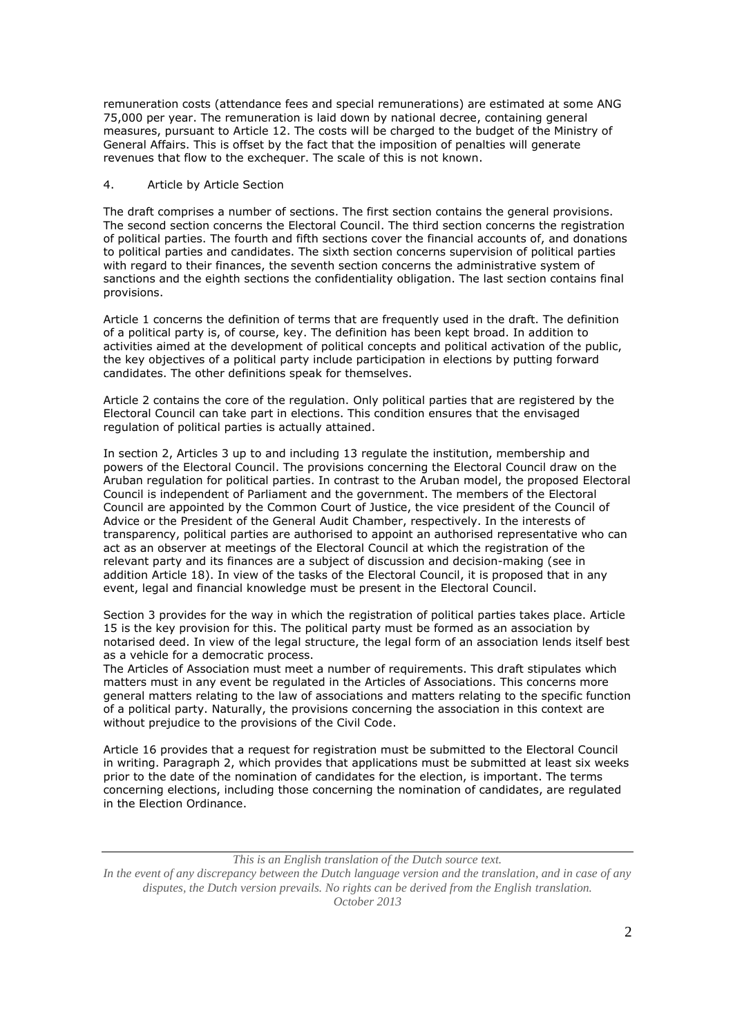remuneration costs (attendance fees and special remunerations) are estimated at some ANG 75,000 per year. The remuneration is laid down by national decree, containing general measures, pursuant to Article 12. The costs will be charged to the budget of the Ministry of General Affairs. This is offset by the fact that the imposition of penalties will generate revenues that flow to the exchequer. The scale of this is not known.

#### 4. Article by Article Section

The draft comprises a number of sections. The first section contains the general provisions. The second section concerns the Electoral Council. The third section concerns the registration of political parties. The fourth and fifth sections cover the financial accounts of, and donations to political parties and candidates. The sixth section concerns supervision of political parties with regard to their finances, the seventh section concerns the administrative system of sanctions and the eighth sections the confidentiality obligation. The last section contains final provisions.

Article 1 concerns the definition of terms that are frequently used in the draft. The definition of a political party is, of course, key. The definition has been kept broad. In addition to activities aimed at the development of political concepts and political activation of the public, the key objectives of a political party include participation in elections by putting forward candidates. The other definitions speak for themselves.

Article 2 contains the core of the regulation. Only political parties that are registered by the Electoral Council can take part in elections. This condition ensures that the envisaged regulation of political parties is actually attained.

In section 2, Articles 3 up to and including 13 regulate the institution, membership and powers of the Electoral Council. The provisions concerning the Electoral Council draw on the Aruban regulation for political parties. In contrast to the Aruban model, the proposed Electoral Council is independent of Parliament and the government. The members of the Electoral Council are appointed by the Common Court of Justice, the vice president of the Council of Advice or the President of the General Audit Chamber, respectively. In the interests of transparency, political parties are authorised to appoint an authorised representative who can act as an observer at meetings of the Electoral Council at which the registration of the relevant party and its finances are a subject of discussion and decision-making (see in addition Article 18). In view of the tasks of the Electoral Council, it is proposed that in any event, legal and financial knowledge must be present in the Electoral Council.

Section 3 provides for the way in which the registration of political parties takes place. Article 15 is the key provision for this. The political party must be formed as an association by notarised deed. In view of the legal structure, the legal form of an association lends itself best as a vehicle for a democratic process.

The Articles of Association must meet a number of requirements. This draft stipulates which matters must in any event be regulated in the Articles of Associations. This concerns more general matters relating to the law of associations and matters relating to the specific function of a political party. Naturally, the provisions concerning the association in this context are without prejudice to the provisions of the Civil Code.

Article 16 provides that a request for registration must be submitted to the Electoral Council in writing. Paragraph 2, which provides that applications must be submitted at least six weeks prior to the date of the nomination of candidates for the election, is important. The terms concerning elections, including those concerning the nomination of candidates, are regulated in the Election Ordinance.

*This is an English translation of the Dutch source text.*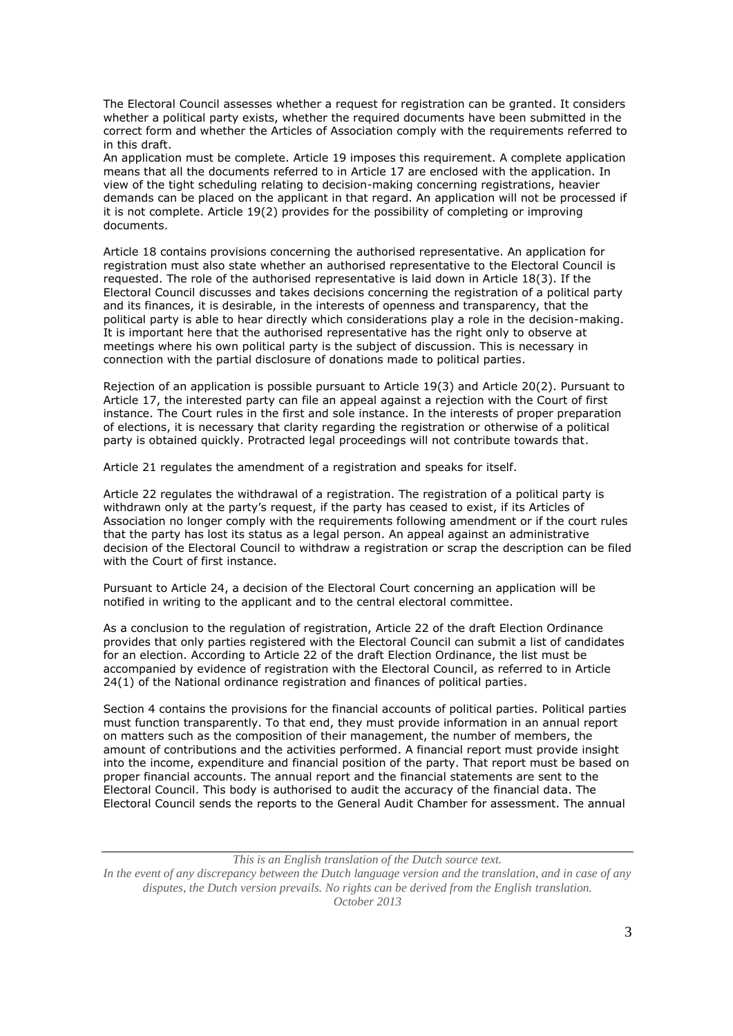The Electoral Council assesses whether a request for registration can be granted. It considers whether a political party exists, whether the required documents have been submitted in the correct form and whether the Articles of Association comply with the requirements referred to in this draft.

An application must be complete. Article 19 imposes this requirement. A complete application means that all the documents referred to in Article 17 are enclosed with the application. In view of the tight scheduling relating to decision-making concerning registrations, heavier demands can be placed on the applicant in that regard. An application will not be processed if it is not complete. Article 19(2) provides for the possibility of completing or improving documents.

Article 18 contains provisions concerning the authorised representative. An application for registration must also state whether an authorised representative to the Electoral Council is requested. The role of the authorised representative is laid down in Article 18(3). If the Electoral Council discusses and takes decisions concerning the registration of a political party and its finances, it is desirable, in the interests of openness and transparency, that the political party is able to hear directly which considerations play a role in the decision-making. It is important here that the authorised representative has the right only to observe at meetings where his own political party is the subject of discussion. This is necessary in connection with the partial disclosure of donations made to political parties.

Rejection of an application is possible pursuant to Article 19(3) and Article 20(2). Pursuant to Article 17, the interested party can file an appeal against a rejection with the Court of first instance. The Court rules in the first and sole instance. In the interests of proper preparation of elections, it is necessary that clarity regarding the registration or otherwise of a political party is obtained quickly. Protracted legal proceedings will not contribute towards that.

Article 21 regulates the amendment of a registration and speaks for itself.

Article 22 regulates the withdrawal of a registration. The registration of a political party is withdrawn only at the party's request, if the party has ceased to exist, if its Articles of Association no longer comply with the requirements following amendment or if the court rules that the party has lost its status as a legal person. An appeal against an administrative decision of the Electoral Council to withdraw a registration or scrap the description can be filed with the Court of first instance.

Pursuant to Article 24, a decision of the Electoral Court concerning an application will be notified in writing to the applicant and to the central electoral committee.

As a conclusion to the regulation of registration, Article 22 of the draft Election Ordinance provides that only parties registered with the Electoral Council can submit a list of candidates for an election. According to Article 22 of the draft Election Ordinance, the list must be accompanied by evidence of registration with the Electoral Council, as referred to in Article 24(1) of the National ordinance registration and finances of political parties.

Section 4 contains the provisions for the financial accounts of political parties. Political parties must function transparently. To that end, they must provide information in an annual report on matters such as the composition of their management, the number of members, the amount of contributions and the activities performed. A financial report must provide insight into the income, expenditure and financial position of the party. That report must be based on proper financial accounts. The annual report and the financial statements are sent to the Electoral Council. This body is authorised to audit the accuracy of the financial data. The Electoral Council sends the reports to the General Audit Chamber for assessment. The annual

*This is an English translation of the Dutch source text.*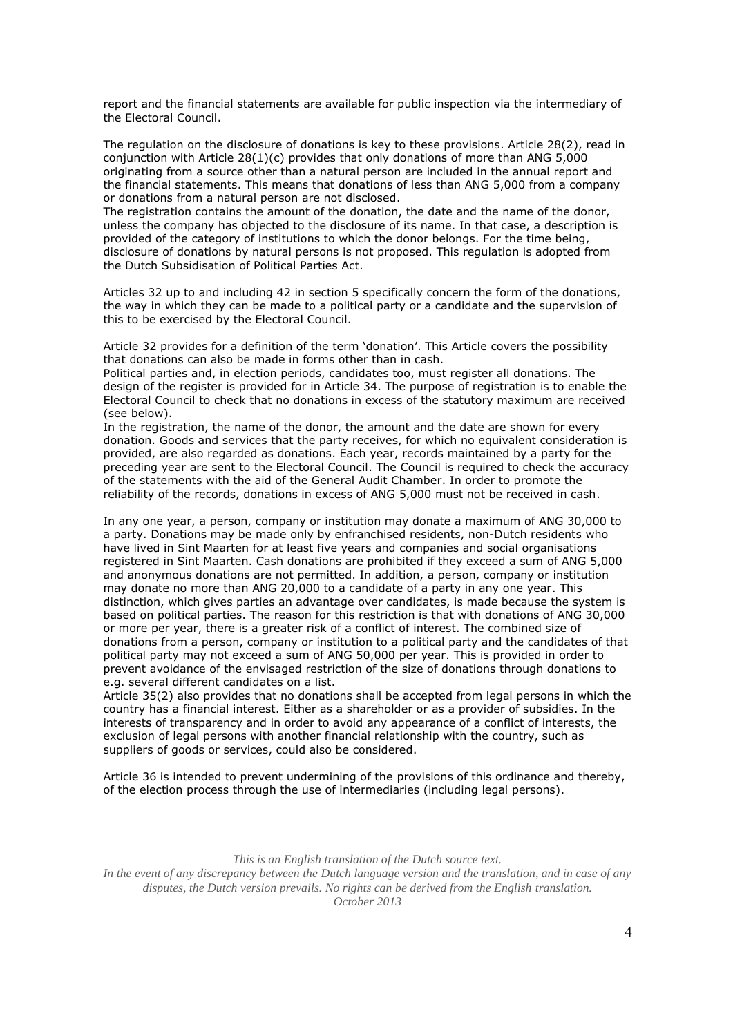report and the financial statements are available for public inspection via the intermediary of the Electoral Council.

The regulation on the disclosure of donations is key to these provisions. Article 28(2), read in conjunction with Article 28(1)(c) provides that only donations of more than ANG 5,000 originating from a source other than a natural person are included in the annual report and the financial statements. This means that donations of less than ANG 5,000 from a company or donations from a natural person are not disclosed.

The registration contains the amount of the donation, the date and the name of the donor, unless the company has objected to the disclosure of its name. In that case, a description is provided of the category of institutions to which the donor belongs. For the time being, disclosure of donations by natural persons is not proposed. This regulation is adopted from the Dutch Subsidisation of Political Parties Act.

Articles 32 up to and including 42 in section 5 specifically concern the form of the donations, the way in which they can be made to a political party or a candidate and the supervision of this to be exercised by the Electoral Council.

Article 32 provides for a definition of the term 'donation'. This Article covers the possibility that donations can also be made in forms other than in cash.

Political parties and, in election periods, candidates too, must register all donations. The design of the register is provided for in Article 34. The purpose of registration is to enable the Electoral Council to check that no donations in excess of the statutory maximum are received (see below).

In the registration, the name of the donor, the amount and the date are shown for every donation. Goods and services that the party receives, for which no equivalent consideration is provided, are also regarded as donations. Each year, records maintained by a party for the preceding year are sent to the Electoral Council. The Council is required to check the accuracy of the statements with the aid of the General Audit Chamber. In order to promote the reliability of the records, donations in excess of ANG 5,000 must not be received in cash.

In any one year, a person, company or institution may donate a maximum of ANG 30,000 to a party. Donations may be made only by enfranchised residents, non-Dutch residents who have lived in Sint Maarten for at least five years and companies and social organisations registered in Sint Maarten. Cash donations are prohibited if they exceed a sum of ANG 5,000 and anonymous donations are not permitted. In addition, a person, company or institution may donate no more than ANG 20,000 to a candidate of a party in any one year. This distinction, which gives parties an advantage over candidates, is made because the system is based on political parties. The reason for this restriction is that with donations of ANG 30,000 or more per year, there is a greater risk of a conflict of interest. The combined size of donations from a person, company or institution to a political party and the candidates of that political party may not exceed a sum of ANG 50,000 per year. This is provided in order to prevent avoidance of the envisaged restriction of the size of donations through donations to e.g. several different candidates on a list.

Article 35(2) also provides that no donations shall be accepted from legal persons in which the country has a financial interest. Either as a shareholder or as a provider of subsidies. In the interests of transparency and in order to avoid any appearance of a conflict of interests, the exclusion of legal persons with another financial relationship with the country, such as suppliers of goods or services, could also be considered.

Article 36 is intended to prevent undermining of the provisions of this ordinance and thereby, of the election process through the use of intermediaries (including legal persons).

*This is an English translation of the Dutch source text.*